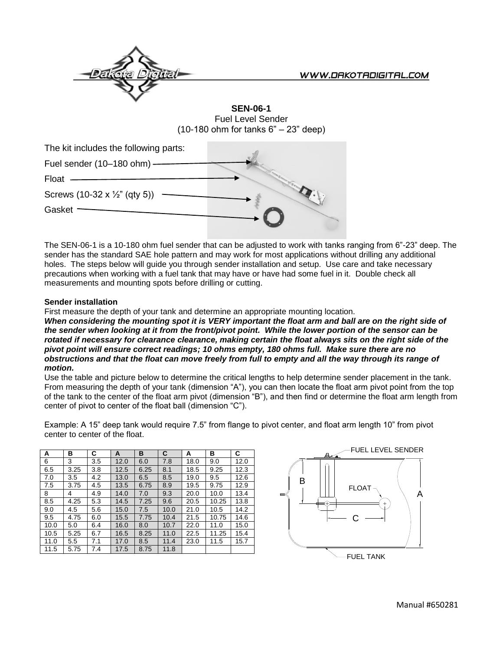

**SEN-06-1** Fuel Level Sender (10-180 ohm for tanks 6" – 23" deep)

| The kit includes the following parts:               |  |
|-----------------------------------------------------|--|
| Fuel sender (10-180 ohm) -                          |  |
| Float                                               |  |
| Screws $(10-32 \times \frac{1}{2} \text{ (qty 5)})$ |  |
| Gasket                                              |  |
|                                                     |  |

The SEN-06-1 is a 10-180 ohm fuel sender that can be adjusted to work with tanks ranging from 6"-23" deep. The sender has the standard SAE hole pattern and may work for most applications without drilling any additional holes. The steps below will guide you through sender installation and setup. Use care and take necessary precautions when working with a fuel tank that may have or have had some fuel in it. Double check all measurements and mounting spots before drilling or cutting.

## **Sender installation**

First measure the depth of your tank and determine an appropriate mounting location.

*When considering the mounting spot it is VERY important the float arm and ball are on the right side of the sender when looking at it from the front/pivot point. While the lower portion of the sensor can be rotated if necessary for clearance clearance, making certain the float always sits on the right side of the pivot point will ensure correct readings; 10 ohms empty, 180 ohms full. Make sure there are no obstructions and that the float can move freely from full to empty and all the way through its range of motion.* 

Use the table and picture below to determine the critical lengths to help determine sender placement in the tank. From measuring the depth of your tank (dimension "A"), you can then locate the float arm pivot point from the top of the tank to the center of the float arm pivot (dimension "B"), and then find or determine the float arm length from center of pivot to center of the float ball (dimension "C").

Example: A 15" deep tank would require 7.5" from flange to pivot center, and float arm length 10" from pivot center to center of the float.

| A    | в    | С   | A    | в    | C    | А    | в     | C    |
|------|------|-----|------|------|------|------|-------|------|
| 6    | 3    | 3.5 | 12.0 | 6.0  | 7.8  | 18.0 | 9.0   | 12.0 |
| 6.5  | 3.25 | 3.8 | 12.5 | 6.25 | 8.1  | 18.5 | 9.25  | 12.3 |
| 7.0  | 3.5  | 4.2 | 13.0 | 6.5  | 8.5  | 19.0 | 9.5   | 12.6 |
| 7.5  | 3.75 | 4.5 | 13.5 | 6.75 | 8.9  | 19.5 | 9.75  | 12.9 |
| 8    | 4    | 4.9 | 14.0 | 7.0  | 9.3  | 20.0 | 10.0  | 13.4 |
| 8.5  | 4.25 | 5.3 | 14.5 | 7.25 | 9.6  | 20.5 | 10.25 | 13.8 |
| 9.0  | 4.5  | 5.6 | 15.0 | 7.5  | 10.0 | 21.0 | 10.5  | 14.2 |
| 9.5  | 4.75 | 6.0 | 15.5 | 7.75 | 10.4 | 21.5 | 10.75 | 14.6 |
| 10.0 | 5.0  | 6.4 | 16.0 | 8.0  | 10.7 | 22.0 | 11.0  | 15.0 |
| 10.5 | 5.25 | 6.7 | 16.5 | 8.25 | 11.0 | 22.5 | 11.25 | 15.4 |
| 11.0 | 5.5  | 7.1 | 17.0 | 8.5  | 11.4 | 23.0 | 11.5  | 15.7 |
| 11.5 | 5.75 | 7.4 | 17.5 | 8.75 | 11.8 |      |       |      |

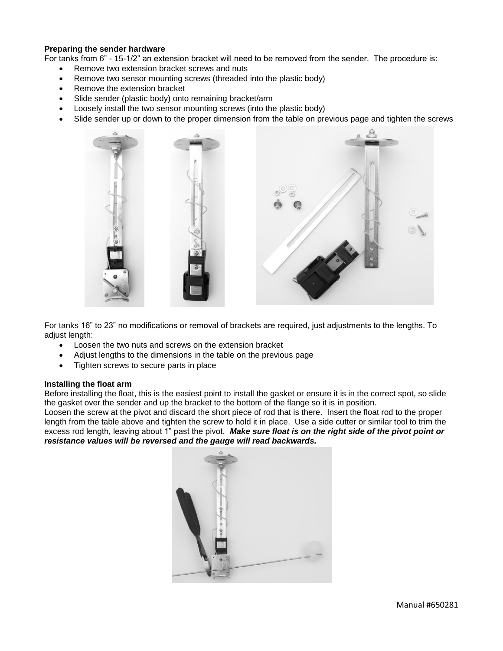## **Preparing the sender hardware**

For tanks from 6" - 15-1/2" an extension bracket will need to be removed from the sender. The procedure is:

- Remove two extension bracket screws and nuts
- Remove two sensor mounting screws (threaded into the plastic body)
- Remove the extension bracket
- Slide sender (plastic body) onto remaining bracket/arm
- Loosely install the two sensor mounting screws (into the plastic body)
- Slide sender up or down to the proper dimension from the table on previous page and tighten the screws



For tanks 16" to 23" no modifications or removal of brackets are required, just adjustments to the lengths. To adjust length:

- Loosen the two nuts and screws on the extension bracket
- Adjust lengths to the dimensions in the table on the previous page
- Tighten screws to secure parts in place

### **Installing the float arm**

Before installing the float, this is the easiest point to install the gasket or ensure it is in the correct spot, so slide the gasket over the sender and up the bracket to the bottom of the flange so it is in position.

Loosen the screw at the pivot and discard the short piece of rod that is there. Insert the float rod to the proper length from the table above and tighten the screw to hold it in place. Use a side cutter or similar tool to trim the excess rod length, leaving about 1" past the pivot. *Make sure float is on the right side of the pivot point or resistance values will be reversed and the gauge will read backwards.*

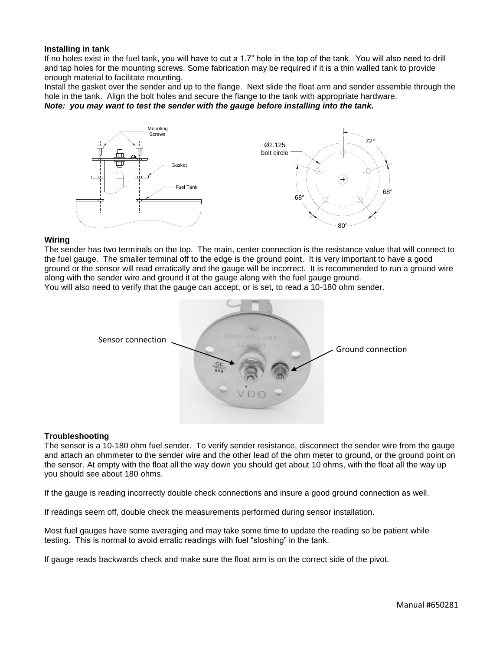### **Installing in tank**

If no holes exist in the fuel tank, you will have to cut a 1.7" hole in the top of the tank. You will also need to drill and tap holes for the mounting screws. Some fabrication may be required if it is a thin walled tank to provide enough material to facilitate mounting.

Install the gasket over the sender and up to the flange. Next slide the float arm and sender assemble through the hole in the tank. Align the bolt holes and secure the flange to the tank with appropriate hardware.

*Note: you may want to test the sender with the gauge before installing into the tank.* 



#### **Wiring**

The sender has two terminals on the top. The main, center connection is the resistance value that will connect to the fuel gauge. The smaller terminal off to the edge is the ground point. It is very important to have a good ground or the sensor will read erratically and the gauge will be incorrect. It is recommended to run a ground wire along with the sender wire and ground it at the gauge along with the fuel gauge ground.

You will also need to verify that the gauge can accept, or is set, to read a 10-180 ohm sender.



## **Troubleshooting**

The sensor is a 10-180 ohm fuel sender. To verify sender resistance, disconnect the sender wire from the gauge and attach an ohmmeter to the sender wire and the other lead of the ohm meter to ground, or the ground point on the sensor. At empty with the float all the way down you should get about 10 ohms, with the float all the way up you should see about 180 ohms.

If the gauge is reading incorrectly double check connections and insure a good ground connection as well.

If readings seem off, double check the measurements performed during sensor installation.

Most fuel gauges have some averaging and may take some time to update the reading so be patient while testing. This is normal to avoid erratic readings with fuel "sloshing" in the tank.

If gauge reads backwards check and make sure the float arm is on the correct side of the pivot.